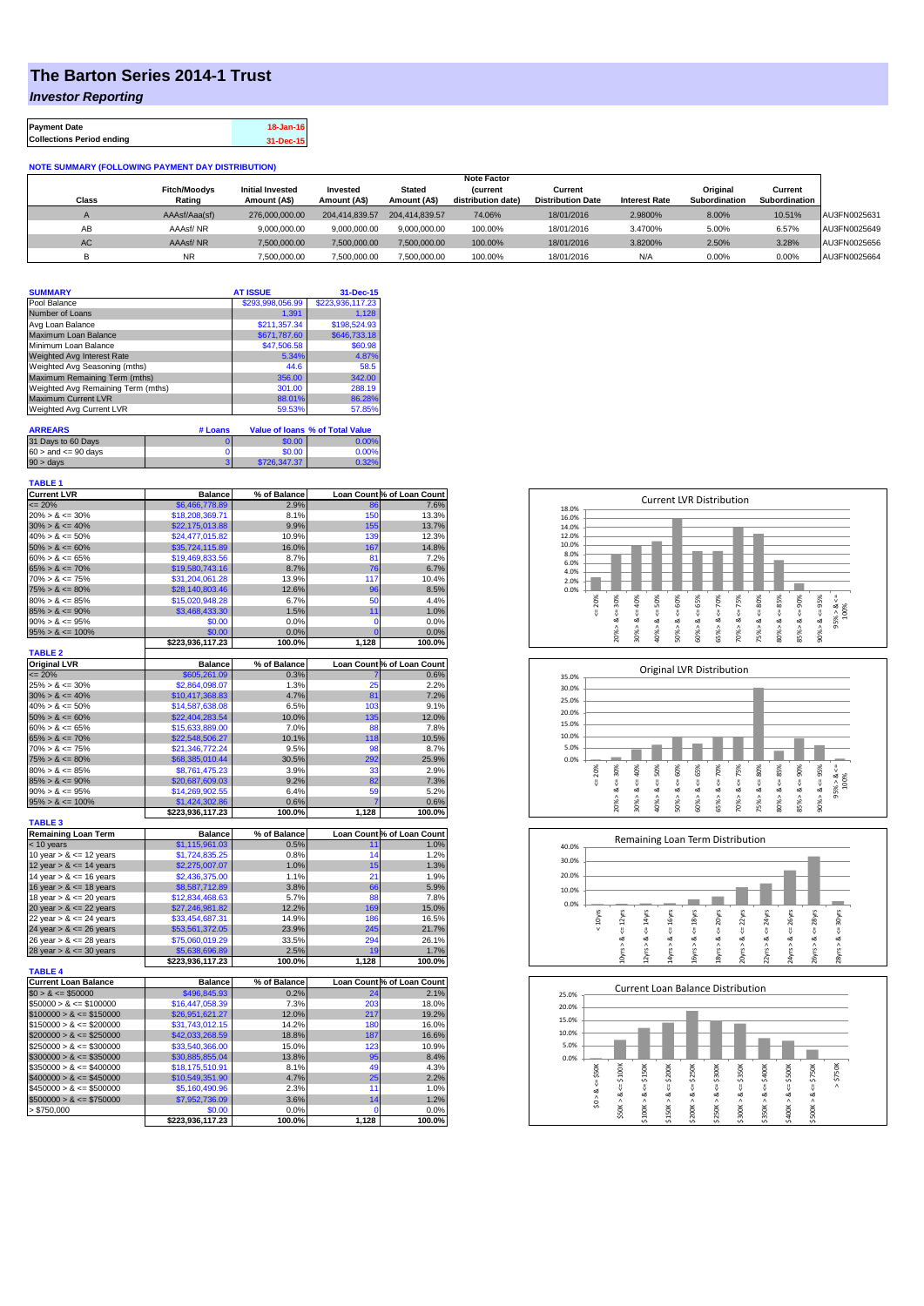## **The Barton Series 2014-1 Trust**

*Investor Reporting*

| <b>Payment Date</b>              | 18-Jan-16 |
|----------------------------------|-----------|
| <b>Collections Period ending</b> | 31-Dec-15 |

## **NOTE SUMMARY (FOLLOWING PAYMENT DAY DISTRIBUTION)**

|              |                     |                         |                |                | <b>Note Factor</b> |                          |                      |               |               |              |
|--------------|---------------------|-------------------------|----------------|----------------|--------------------|--------------------------|----------------------|---------------|---------------|--------------|
|              | <b>Fitch/Moodys</b> | <b>Initial Invested</b> | Invested       | Stated         | <b>Current</b>     | Current                  |                      | Original      | Current       |              |
| <b>Class</b> | Rating              | Amount (A\$)            | Amount (A\$)   | Amount (A\$)   | distribution date) | <b>Distribution Date</b> | <b>Interest Rate</b> | Subordination | Subordination |              |
|              | AAAsf/Aaa(sf)       | 276,000,000,00          | 204.414.839.57 | 204.414.839.57 | 74.06%             | 18/01/2016               | 2.9800%              | 8.00%         | 10.51%        | AU3FN0025631 |
| AB           | AAAsf/NR            | 9,000,000.00            | 9.000.000.00   | 9.000.000.00   | 100.00%            | 18/01/2016               | 3.4700%              | 5.00%         | 6.57%         | AU3FN0025649 |
| AC.          | AAAsf/NR            | 7,500,000.00            | 7.500.000.00   | 7.500.000.00   | 100.00%            | 18/01/2016               | 3.8200%              | 2.50%         | 3.28%         | AU3FN0025656 |
|              | <b>NR</b>           | ,500,000.00             | 7.500.000.00   | 7,500,000.00   | 100.00%            | 18/01/2016               | N/A                  | 0.00%         | 0.00%         | AU3FN0025664 |

| <b>SUMMARY</b>                     |         | <b>AT ISSUE</b>  | 31-Dec-15                       |
|------------------------------------|---------|------------------|---------------------------------|
| Pool Balance                       |         | \$293,998,056.99 | \$223,936,117.23                |
| Number of Loans                    |         | 1.391            | 1.128                           |
| Avg Loan Balance                   |         | \$211.357.34     | \$198,524.93                    |
| Maximum Loan Balance               |         | \$671,787.60     | \$646,733.18                    |
| Minimum Loan Balance               |         | \$47,506.58      | \$60.98                         |
| <b>Weighted Avg Interest Rate</b>  |         | 5.34%            | 4.87%                           |
| Weighted Avg Seasoning (mths)      |         | 44.6             | 58.5                            |
| Maximum Remaining Term (mths)      |         | 356.00           | 342.00                          |
| Weighted Avg Remaining Term (mths) |         | 301.00           | 288.19                          |
| <b>Maximum Current LVR</b>         |         | 88.01%           | 86.28%                          |
| Weighted Avg Current LVR           |         | 59.53%           | 57.85%                          |
|                                    |         |                  |                                 |
| <b>ARREARS</b>                     | # Loans |                  | Value of Ioans % of Total Value |
| 21 Days to 60 Days                 | $\sim$  | 2000             | 0.0001                          |

| 31 Days to 60 Days        | 50.00        |       |
|---------------------------|--------------|-------|
| $60 >$ and $\leq 90$ days | \$0.00       | 0.00% |
| $90 > \text{days}$        | \$726.347.37 |       |
|                           |              |       |

| <b>TABLE 1</b>              |                  |              |       |                            |
|-----------------------------|------------------|--------------|-------|----------------------------|
| <b>Current LVR</b>          | <b>Balance</b>   | % of Balance |       | Loan Count % of Loan Count |
| $= 20%$                     | \$6,466,778.89   | 2.9%         | 86    | 7.6%                       |
| $20\% > 8 \le 30\%$         | \$18,208,369.71  | 8.1%         | 150   | 13.3%                      |
| $30\% > 8 \le 40\%$         | \$22,175,013.88  | 9.9%         | 155   | 13.7%                      |
| $40\% > 8 \le 50\%$         | \$24,477,015.82  | 10.9%        | 139   | 12.3%                      |
| $50\% > 8 \le 60\%$         | \$35,724,115.89  | 16.0%        | 167   | 14.8%                      |
| $60\% > 8 \le 65\%$         | \$19,469,833.56  | 8.7%         | 81    | 7.2%                       |
| $65\% > 8 \le 70\%$         | \$19,580,743.16  | 8.7%         | 76    | 6.7%                       |
| $70\% > 8 \le 75\%$         | \$31,204,061.28  | 13.9%        | 117   | 10.4%                      |
| $75\% > 8 \le 80\%$         | \$28,140,803.46  | 12.6%        | 96    | 8.5%                       |
| $80\% > 8 \le 85\%$         | \$15,020,948.28  | 6.7%         | 50    | 4.4%                       |
| $85\% > 8 \le 90\%$         | \$3,468,433.30   | 1.5%         | 11    | 1.0%                       |
| $90\% > 8 \le 95\%$         | \$0.00           | 0.0%         | 0     | 0.0%                       |
| $95\% > 8 \le 100\%$        | \$0.00           | 0.0%         | Ō     | 0.0%                       |
|                             | \$223,936,117.23 | 100.0%       | 1,128 | 100.0%                     |
| <b>TABLE 2</b>              |                  |              |       |                            |
| <b>Original LVR</b>         | <b>Balance</b>   | % of Balance |       | Loan Count % of Loan Count |
| $= 20%$                     | \$605,261.09     | 0.3%         |       | 0.6%                       |
| $25\% > 8 \le 30\%$         | \$2,864,098.07   | 1.3%         | 25    | 2.2%                       |
| $30\% > 8 \le 40\%$         | \$10,417,368.83  | 4.7%         | 81    | 7.2%                       |
| $40\% > 8 \le 50\%$         | \$14,587,638.08  | 6.5%         | 103   | 9.1%                       |
| $50\% > 8 \le 60\%$         | \$22,404,283.54  | 10.0%        | 135   | 12.0%                      |
| $60\% > 8 \le 65\%$         | \$15,633,889.00  | 7.0%         | 88    | 7.8%                       |
| $65\% > 8 \le 70\%$         | \$22,548,506.27  | 10.1%        | 118   | 10.5%                      |
| $70\% > 8 \le 75\%$         | \$21,346,772.24  | 9.5%         | 98    | 8.7%                       |
| $75\% > 8 \le 80\%$         | \$68,385,010.44  | 30.5%        | 292   | 25.9%                      |
| $80\% > 8 \le 85\%$         | \$8,761,475.23   | 3.9%         | 33    | 2.9%                       |
| $85\% > 8 \le 90\%$         | \$20,687,609.03  | 9.2%         | 82    | 7.3%                       |
| $90\% > 8 \le 95\%$         | \$14,269,902.55  | 6.4%         | 59    | 5.2%                       |
| $95\% > 8 \le 100\%$        | \$1,424,302.86   | 0.6%         | 7     | 0.6%                       |
|                             | \$223,936,117.23 | 100.0%       | 1,128 | 100.0%                     |
| <b>TABLE 3</b>              |                  |              |       |                            |
| <b>Remaining Loan Term</b>  | <b>Balance</b>   | % of Balance |       | Loan Count % of Loan Count |
| < 10 years                  | \$1,115,961.03   | 0.5%         | 11    | 1.0%                       |
| 10 year $> 8 \le 12$ years  | \$1,724,835.25   | 0.8%         | 14    | 1.2%                       |
| 12 year $> 8 \le 14$ years  | \$2,275,007.07   | 1.0%         | 15    | 1.3%                       |
| 14 year $> 8 \le 16$ years  | \$2,436,375.00   | 1.1%         | 21    | 1.9%                       |
| 16 year $> 8 \le 18$ years  | \$8,587,712.89   | 3.8%         | 66    | 5.9%                       |
| 18 year $> 8 \le 20$ years  | \$12.834.468.63  | 5.7%         | 88    | 7.8%                       |
| 20 year $> 8 \le 22$ years  | \$27,246,981.82  | 12.2%        | 169   | 15.0%                      |
| 22 year $> 8 \le 24$ years  | \$33,454,687.31  | 14.9%        | 186   | 16.5%                      |
| 24 year $> 8 \le 26$ years  | \$53,561,372.05  | 23.9%        | 245   | 21.7%                      |
| 26 year > & <= 28 years     | \$75,060,019.29  | 33.5%        | 294   | 26.1%                      |
| 28 year $> 8 \le 30$ years  | \$5,638,696.89   | 2.5%         | 19    | 1.7%                       |
|                             | \$223,936,117.23 | 100.0%       | 1,128 | 100.0%                     |
| <b>TABLE 4</b>              |                  |              |       |                            |
| <b>Current Loan Balance</b> | <b>Balance</b>   | % of Balance |       | Loan Count % of Loan Count |
| $$0 > 8 \leq $50000$        | \$496,845.93     | 0.2%         | 24    | 2.1%                       |
| $$50000 > 8 \le $100000$    | \$16,447,058.39  | 7.3%         | 203   | 18.0%                      |
| $$100000 > 8 \leq $150000$  | \$26,951,621.27  | 12.0%        | 217   | 19.2%                      |
| $$150000 > 8 \le $200000$   | \$31,743,012.15  | 14.2%        | 180   | 16.0%                      |
| $$200000 > 8 \leq $250000$  | \$42,033,268.59  | 18.8%        | 187   | 16.6%                      |
| $$250000 > 8 \leq $300000$  | \$33,540,366.00  | 15.0%        | 123   | 10.9%                      |
| $$300000 > 8 \leq $350000$  | \$30,885,855.04  | 13.8%        | 95    | 8.4%                       |
| $$350000 > 8 \leq $400000$  | \$18,175,510.91  | 8.1%         | 49    | 4.3%                       |
| $$400000 > 8 \leq $450000$  | \$10,549,351.90  | 4.7%         | 25    | 2.2%                       |
| $$450000 > 8 \leq $500000$  | \$5,160,490.96   | 2.3%         | 11    | 1.0%                       |
| $$500000 > 8 \leq $750000$  | \$7,952,736.09   | 3.6%         | 14    | 1.2%                       |
| > \$750,000                 | \$0.00           | 0.0%         | 0     | 0.0%                       |
|                             | \$223,936,117.23 | 100.0%       | 1,128 | 100.0%                     |